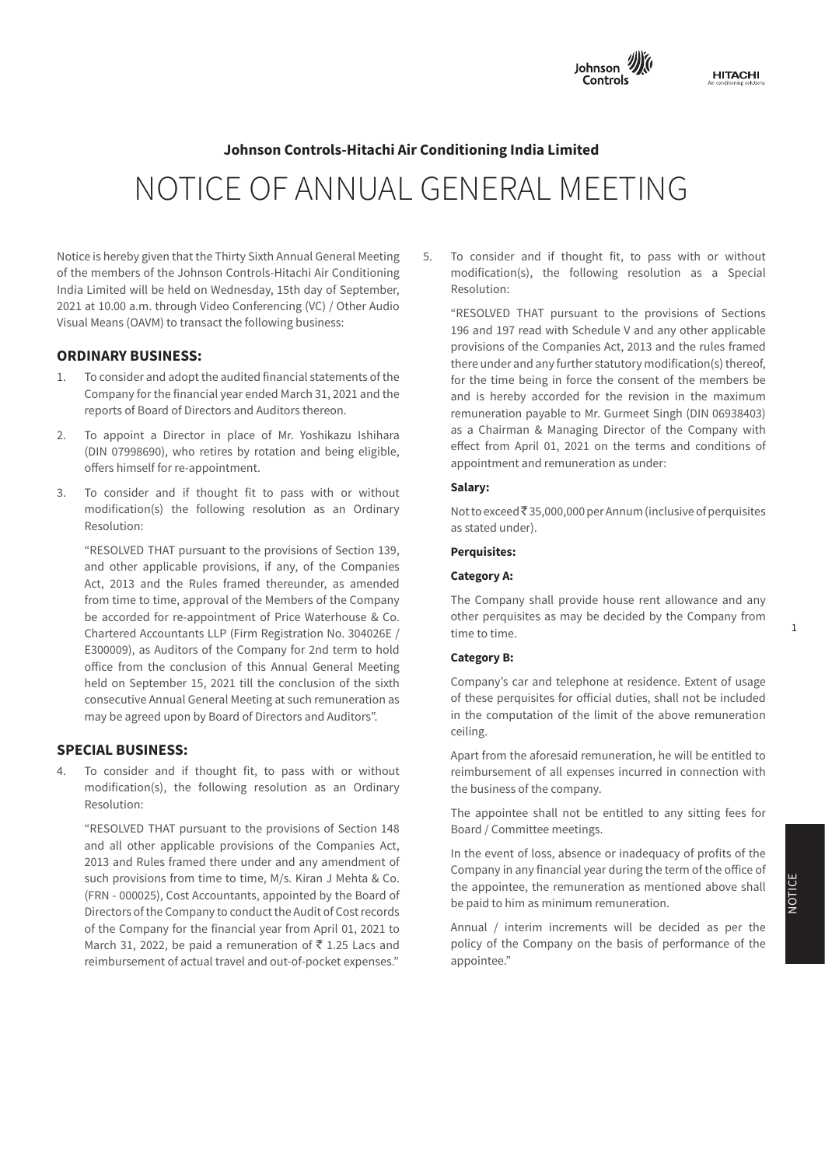

# **Note 36: Fair value measurements Notes of the Financial Statements Annexure - A formulation Statements Annexure - A formulation ing India Limited**<br> **Johnson Controls-Hitachi Air Conditioning India Limited** NOTICE OF ANNUAL GENERAL MEETING

This interval provide the control  $\alpha$  financial instruments as  $\alpha$  as  $\alpha$  is not finally as  $\alpha$ Notice is hereby given that the Thirty Sixth Annual General Meeting **5**. To consider a of the members of the Johnson Controls-Hitachi Air Conditioning modification(s), the followi India Limited will be held on Wednesday, 15th day of September, Resolution: Visual Means (OAVM) to transact the following business: 2021 at 10.00 a.m. through Video Conferencing (VC) / Other Audio

# **Financial assets ORDINARY BUSINESS:**

- Company for the financial year ended March 31, 2021 and the and is hereby accorded for the revision in the maximur reports of Board of Directors and Auditors thereon.<br>
remuneration pavable to Mr. Gurmeet Singh (DIN 06938403
- 2. To appoint a Director in place of Mr. Yoshikazu Ishihara and as a Chairman & Managing Director of the Company wit (DIN 07998690), who retires by rotation and being eligible,<br>
enect from April 01, 2021 on the terms and conditions to offers himself for re-appointment. The same offers appointment and remuneration as under:
- 3. To consider and if thought fit to pass with or without **Salary:** modification(s) the following resolution as an Ordinary Resolution:

**Financial liabilities**  "RESOLVED THAT pursuant to the provisions of Section 139, and other applicable provisions, if any, of the Companies **Companies** Act, 2013 and the Rules framed thereunder, as amended<br>Act, 2013 and the Rules framed thereunder, as amended from time to time, approval of the Members of the Company The Company shall provide house rent allowance and an the matter of the general Credit Credit Credit Credit Credit Credit Credit Credit Credit Credit Credit Credit C<br>be accorded for re-appointment of Price Waterhouse & Co. other perquisites as may be decided by the Company fr Chartered Accountants LLP (Firm Registration No. 304026E / time to time. E300009), as Auditors of the Company for 2nd term to hold<br> **Category B:** office from the conclusion of this Annual General Meeting **Exercises**. held on September 15, 2021 till the conclusion of the sixth Company's car and telephone at residence. Extent of usag consecutive Annual General Meeting at such remuneration as of these perquisites for official duties, shall not be include les nom the editembre of this rundat echerat meeting<br>Id on September 15, 2021 till the conclusion of the sixth Company's car and telephone at residence. Extent of usage **III. PARTICULARS OF HOLDING OF HOLDING CONSUMIPS** (**III. PARTICULARS** of **CONSUMIPS** (**III. PARTICULARS** (**III. III. III. III. III. III. III. III. III. III. III. III. III. III. III. III** 

# **SPECIAL BUSINESS:**

4. To consider and if thought fit, to pass with or without entermining reimbursement of all expenses incurred in connection with modification(s), the following resolution as an Ordinary the business of the company. Resolution:<br>
The appointee shall not be entitled to any sitting fees for  $U$ on:  $\mathcal{L}$ Resolution:

ne appointee shat<br>"RESOLVED THAT pursuant to the provisions of Section 148 Board / Committee r and all other applicable provisions of the Companies Act,<br>
In the event of loss absence or inadequacy of profits of the 2013 and Rules framed there under and any amendment of In Assets and life appointed at an oppointed at a mortion of the Social factor which fair values are distincted. For all financial instruments referred above that have been measured at amortised cost, their carrying values are reasonable Annual / interim increments will be decided as per the March 31, 2022, be paid a remuneration of  $\bar{x}$  1.25 Lacs and policy of the Contract instruments. reimbursement of actual travel and out-of-pocket expenses." appoir such provisions from time to time, M/s. Kiran J Mehta & Co. **The Company to conduct the Audit of Cost records** of the Company for the financial year from April 01, 2021 to

J **in million** 5. To consider and if thought fit, to pass with or without modification(s), the following resolution as a Special Resolution:

**Year ended March 31, 2019 Year ended March 31, 2018** "RESOLVED THAT pursuant to the provisions of Sections 196 and 197 read with Schedule V and any other applicable **COST : COST : CONTRACT : CONTRACT : CONTRACT : CONTRACT : CONTRACT : CONTRACT : CONTRACT : CONTRACT : CONTRACT : CONTRACT : CONTRACT : CONTRACT : CONTRACT : CONTRACT : CONTRACT : CONTRACT : CONTRACT : CONTRACT : CONTRACT** there under and any ident restationly modification(s) there<br>for the time being in force the consent of the members b of the Contracts Algebra Contracts 4.5 - 1.8 - 1.8 - 1.8 - 1.8 - 1.8 - 1.9 - 1.9 - 1.9 - 1.9 - 1.9 - 1.9 - 1.9<br>To annoint a Director in place of Mr. Yoshikazu Ishihara as a Chairman & Managing Director of the Company with effect from April 01, 2021 on the terms and conditions of there under and any further statutory modification(s) thereof, for the time being in force the consent of the members be and is hereby accorded for the revision in the maximum remuneration payable to Mr. Gurmeet Singh (DIN 06938403) appointment and remuneration as under:

#### $Salary:$

Not to exceed₹35,000,000 per Annum (inclusive of perquisites **Total financial assets 4.5 - 5,249.8 8.7 - 4,758.3** need and compared to the stated under).  $N = \frac{1}{2}$ 

## Navrangpura, Ahmedabad-380009 **Perquisites:**

#### **Category A:**

 $\mathbb{E}$  / **Code of the Product / Service Code of the Service Code of the Service Code of the Service Of the Service Code of the Service Code of the Service Code of the Service Code of the Service Code of**  The Company shall provide house rent allowance and any other perquisites as may be decided by the Company from time to time.

## **Category B:**

 $\alpha$  Celling. of these perquisites for official duties, shall not be included in the computation of the limit of the above remuneration ceiling.

> Apart from the aforesaid remuneration, he will be entitled to ithout reimbursement of all expenses incurred in connection with the business of the company.

> > Board / Committee meetings.

In the event of loss, absence or inadequacy of profits of the Company in any financial year during the term of the office of the appointee, the remuneration as mentioned above shall be paid to him as minimum remuneration.

> policy of the Company on the basis of performance of the appointee."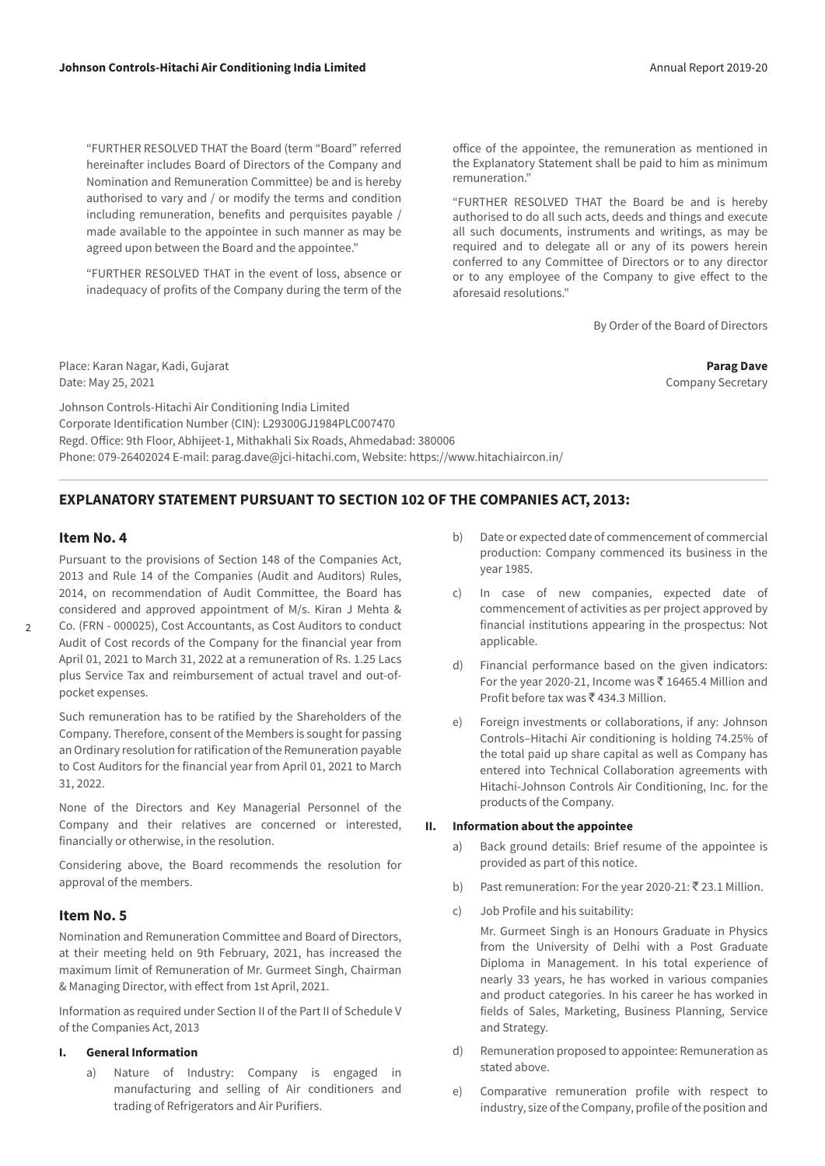"FURTHER RESOLVED THAT the Board (term "Board" referred hereinafter includes Board of Directors of the Company and Nomination and Remuneration Committee) be and is hereby authorised to vary and / or modify the terms and condition including remuneration, benefits and perquisites payable / made available to the appointee in such manner as may be agreed upon between the Board and the appointee."

 "FURTHER RESOLVED THAT in the event of loss, absence or inadequacy of profits of the Company during the term of the office of the appointee, the remuneration as mentioned in the Explanatory Statement shall be paid to him as minimum remuneration."

 "FURTHER RESOLVED THAT the Board be and is hereby authorised to do all such acts, deeds and things and execute all such documents, instruments and writings, as may be required and to delegate all or any of its powers herein conferred to any Committee of Directors or to any director or to any employee of the Company to give effect to the aforesaid resolutions."

By Order of the Board of Directors

Place: Karan Nagar, Kadi, Gujarat **Parag Dave** Date: May 25, 2021 Company Secretary and Date: May 25, 2021

Johnson Controls-Hitachi Air Conditioning India Limited Corporate Identification Number (CIN): L29300GJ1984PLC007470 Regd. Office: 9th Floor, Abhijeet-1, Mithakhali Six Roads, Ahmedabad: 380006 Phone: 079-26402024 E-mail: parag.dave@jci-hitachi.com, Website: https://www.hitachiaircon.in/

# **EXPLANATORY STATEMENT PURSUANT TO SECTION 102 OF THE COMPANIES ACT, 2013:**

# **Item No. 4**

 $\overline{2}$ 

Pursuant to the provisions of Section 148 of the Companies Act, 2013 and Rule 14 of the Companies (Audit and Auditors) Rules, 2014, on recommendation of Audit Committee, the Board has considered and approved appointment of M/s. Kiran J Mehta & Co. (FRN - 000025), Cost Accountants, as Cost Auditors to conduct

Audit of Cost records of the Company for the financial year from April 01, 2021 to March 31, 2022 at a remuneration of Rs. 1.25 Lacs plus Service Tax and reimbursement of actual travel and out-ofpocket expenses.

Such remuneration has to be ratified by the Shareholders of the Company. Therefore, consent of the Members is sought for passing an Ordinary resolution for ratification of the Remuneration payable to Cost Auditors for the financial year from April 01, 2021 to March 31, 2022.

None of the Directors and Key Managerial Personnel of the Company and their relatives are concerned or interested, financially or otherwise, in the resolution.

Considering above, the Board recommends the resolution for approval of the members.

# **Item No. 5**

Nomination and Remuneration Committee and Board of Directors, at their meeting held on 9th February, 2021, has increased the maximum limit of Remuneration of Mr. Gurmeet Singh, Chairman & Managing Director, with effect from 1st April, 2021.

Information as required under Section II of the Part II of Schedule V of the Companies Act, 2013

#### **I. General Information**

a) Nature of Industry: Company is engaged in manufacturing and selling of Air conditioners and trading of Refrigerators and Air Purifiers.

- b) Date or expected date of commencement of commercial production: Company commenced its business in the year 1985.
- c) In case of new companies, expected date of commencement of activities as per project approved by financial institutions appearing in the prospectus: Not applicable.
- d) Financial performance based on the given indicators: For the year 2020-21, Income was  $\bar{c}$  16465.4 Million and Profit before tax was  $\bar{c}$  434.3 Million.
- e) Foreign investments or collaborations, if any: Johnson Controls–Hitachi Air conditioning is holding 74.25% of the total paid up share capital as well as Company has entered into Technical Collaboration agreements with Hitachi-Johnson Controls Air Conditioning, Inc. for the products of the Company.

#### **II. Information about the appointee**

- a) Back ground details: Brief resume of the appointee is provided as part of this notice.
- b) Past remuneration: For the year 2020-21:  $\bar{\tau}$  23.1 Million.
- c) Job Profile and his suitability:

 Mr. Gurmeet Singh is an Honours Graduate in Physics from the University of Delhi with a Post Graduate Diploma in Management. In his total experience of nearly 33 years, he has worked in various companies and product categories. In his career he has worked in fields of Sales, Marketing, Business Planning, Service and Strategy.

- d) Remuneration proposed to appointee: Remuneration as stated above.
- e) Comparative remuneration profile with respect to industry, size of the Company, profile of the position and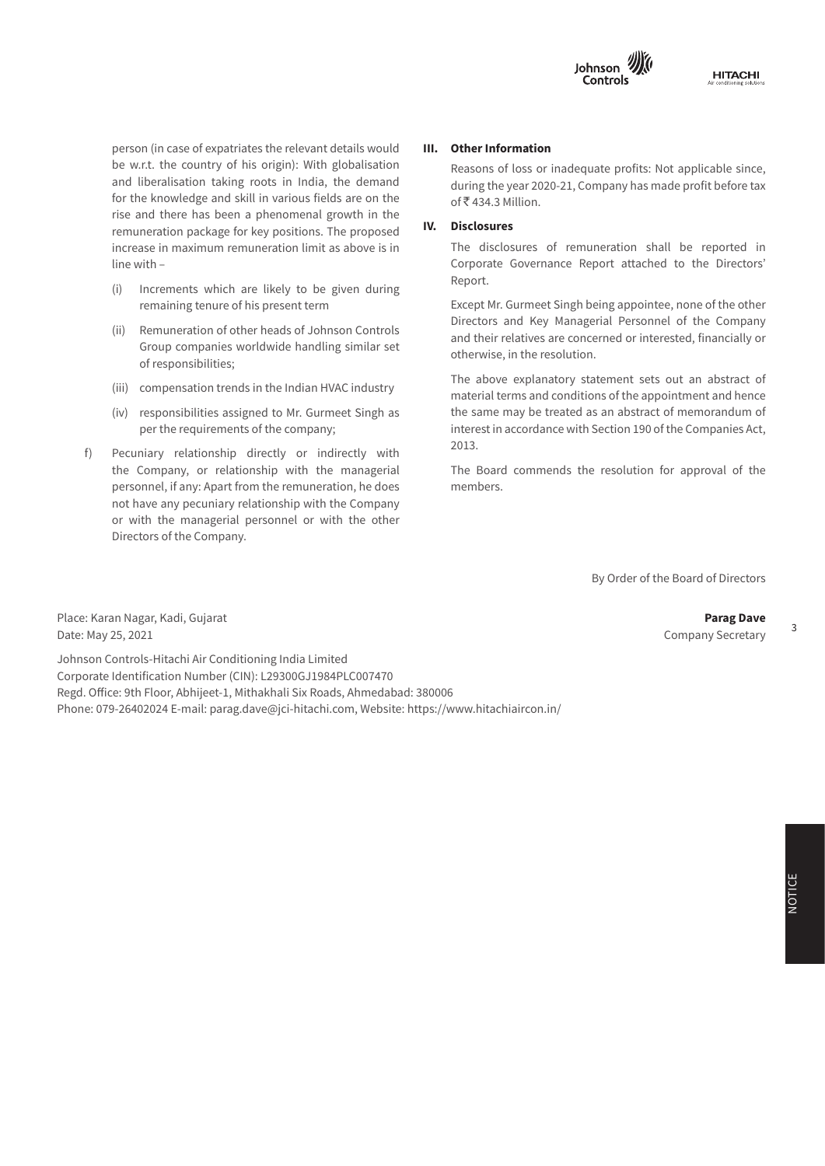

for the knowledge and skill in various fields are on the remuneration package for key positions. The proposed **IV. DISCI**  $\Gamma$  this section of  $\Gamma$  financial instruments as understanding as understanding as understanding as under: person (in case of expatriates the relevant details would **III. Other Information**<br>be w.r.t. the country of his origin): With globalisation Reasons of loss or inadequate profits: No rise and there has been a phenomenal growth in the increase in maximum remuneration limit as above is in The disclosure person (in case of expatriates the relevant details would and liberalisation taking roots in India, the demand

- $(i)$  Increments which are likely to be given during  $i$ remaining tenure of his present term
- of responsibilities; (ii) Remuneration of other heads of Johnson Controls Group companies worldwide handling similar set **Examples** The measurement of the resolution increase in the set of the set of the set of the set of the set of the set of the set of the set of the set of
	-
- (iv) responsibilities assigned to Mr. Gurmeet Singh as the same may be treated as an abstract of per the requirements of the company;
	- f) Pecuniary relationship directly or indirectly with  $\sim$  2.2.2. the Company, or relationship with the managerial The Board commends the resolution for approval of the personnel, if any: Apart from the remuneration, he does members. not have any pecuniary relationship with the Company or with the managerial personnel or with the other **Total financial assets 4.5 - 5,249.8 8.7 - 4,758.3** Directors of the Company. the Company, or relationship with the managerial T

#### **III. Other Information**

 Reasons of loss or inadequate profits: Not applicable since, during the year 2020-21, Company has made profit before tax of ₹434.3 Million.

#### **IV. Disclosures**

Section 2010 and Companies Actor The disclosures of remuneration shall be reported in Corporate Governance Report attached to the Directors' Report.

> **Year ended March 31, 2019 Year ended March 31, 2018** Except Mr. Gurmeet Singh being appointee, none of the other **FIPLE FIPLICI FIPLICI EXECUTE:** Directors and Key Managerial Personnel of the Company **cost cost** and their relatives are concerned or interested, financially or otherwise, in the resolution.

 $\frac{m_1}{m_2}$  -  $\frac{m_2}{m_1}$ ,  $\frac{m_3}{m_2}$ ,  $\frac{m_4}{m_3}$ . The above explanatory statement sets out an abstract of (iii) compensation trends in the Indian HVAC industry<br>
interval and conditions of the concintent and bone (iv) responsibilities assigned to Mr. Gurmeet Singh as the same may be treated as an abstract of memorandum of perfermances assigned to the Contracts anglicity of the Companies and contact the requirements of the company; Per are requirements of the company, 2013. material terms and conditions of the appointment and hence

members.

Borrowings - - 1,896.2 - 1,896.2 - 1,896.2 - 1,896.2 - 1,896.2 - 126.6 - 126.6 - 126.6 - 126.6 - 126.6 - 126.6 By Order of the Board of Directors

Capital Creditors - - 188.9 - - 28.3 All the Business Activities contributing 10% or more of the total turnover of the Company shall be stated: Place: Karan Nagar, Kadi, Gujarat **Parag Dave** Date: May 25, 2021 **Company Secretary** Date: May 25, 2021 **Name and Description of main Products /** 

 $A = \{x_1, x_2, \ldots, x_n\}$  ,  $A = \{x_1, x_2, \ldots, x_n\}$  ,  $A = \{x_1, x_2, \ldots, x_n\}$ Johnson Controls-Hitachi Air Conditioning India Limited<br>
Johnson Controls-Hitachi Air Conditioning India Limited Refund in the form of the form of the customer of the customer of the customer of the customer of the customer of the customer of the customer of the customer of the customer of the customer of the customer of the customer Regd. Office: 9th Floor, Abhijeet-1, Mithakhali Six Roads, Ahmedabad: 380006 Corporate Identification Number (CIN): L29300GJ1984PLC007470 Phone: 079-26402024 E-mail: parag.dave@jci-hitachi.com, Website: https://www.hitachiaircon.in/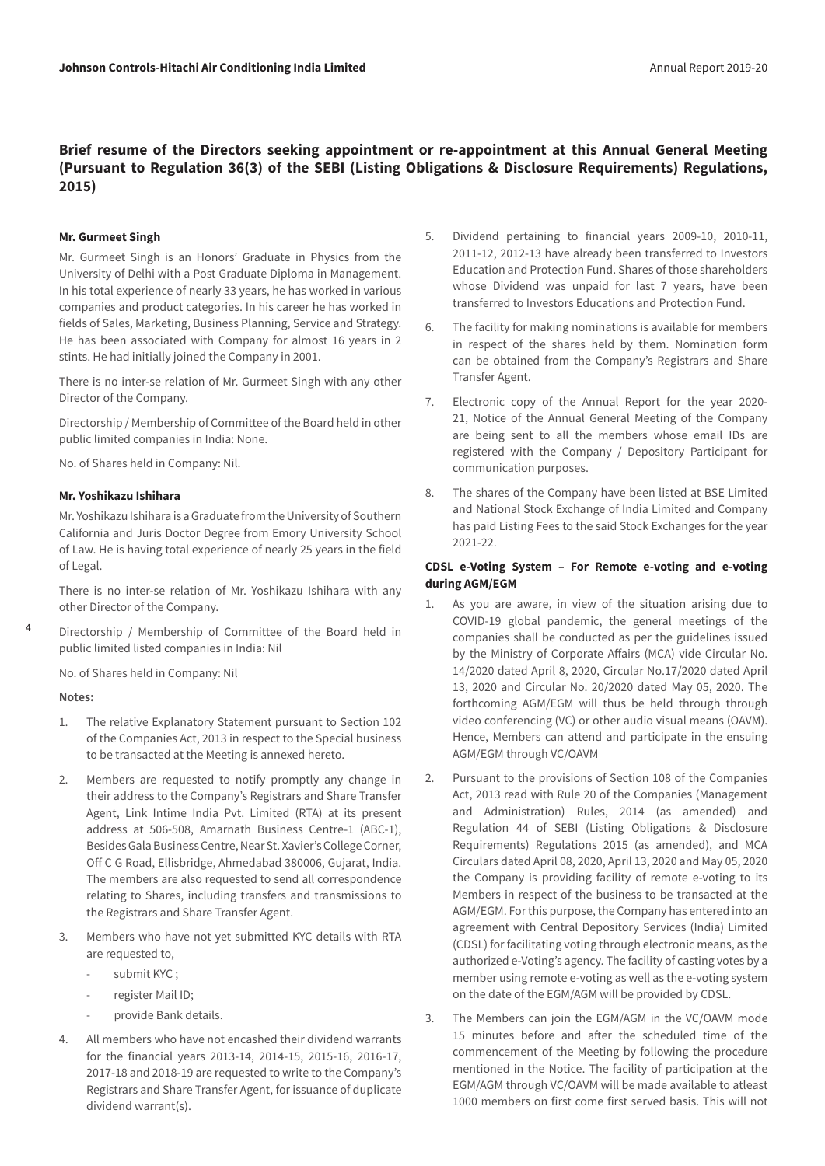# **Brief resume of the Directors seeking appointment or re-appointment at this Annual General Meeting (Pursuant to Regulation 36(3) of the SEBI (Listing Obligations & Disclosure Requirements) Regulations, 2015)**

#### **Mr. Gurmeet Singh**

Mr. Gurmeet Singh is an Honors' Graduate in Physics from the University of Delhi with a Post Graduate Diploma in Management. In his total experience of nearly 33 years, he has worked in various companies and product categories. In his career he has worked in fields of Sales, Marketing, Business Planning, Service and Strategy. He has been associated with Company for almost 16 years in 2 stints. He had initially joined the Company in 2001.

There is no inter-se relation of Mr. Gurmeet Singh with any other Director of the Company.

Directorship / Membership of Committee of the Board held in other public limited companies in India: None.

No. of Shares held in Company: Nil.

#### **Mr. Yoshikazu Ishihara**

Mr. Yoshikazu Ishihara is a Graduate from the University of Southern California and Juris Doctor Degree from Emory University School of Law. He is having total experience of nearly 25 years in the field of Legal.

There is no inter-se relation of Mr. Yoshikazu Ishihara with any other Director of the Company.

Directorship / Membership of Committee of the Board held in public limited listed companies in India: Nil

No. of Shares held in Company: Nil

#### **Notes:**

4

- 1. The relative Explanatory Statement pursuant to Section 102 of the Companies Act, 2013 in respect to the Special business to be transacted at the Meeting is annexed hereto.
- 2. Members are requested to notify promptly any change in their address to the Company's Registrars and Share Transfer Agent, Link Intime India Pvt. Limited (RTA) at its present address at 506-508, Amarnath Business Centre-1 (ABC-1), Besides Gala Business Centre, Near St. Xavier's College Corner, Off C G Road, Ellisbridge, Ahmedabad 380006, Gujarat, India. The members are also requested to send all correspondence relating to Shares, including transfers and transmissions to the Registrars and Share Transfer Agent.
- 3. Members who have not yet submitted KYC details with RTA are requested to,
	- submit KYC;
	- register Mail ID;
	- provide Bank details.
- 4. All members who have not encashed their dividend warrants for the financial years 2013-14, 2014-15, 2015-16, 2016-17, 2017-18 and 2018-19 are requested to write to the Company's Registrars and Share Transfer Agent, for issuance of duplicate dividend warrant(s).
- 5. Dividend pertaining to financial years 2009-10, 2010-11, 2011-12, 2012-13 have already been transferred to Investors Education and Protection Fund. Shares of those shareholders whose Dividend was unpaid for last 7 years, have been transferred to Investors Educations and Protection Fund.
- 6. The facility for making nominations is available for members in respect of the shares held by them. Nomination form can be obtained from the Company's Registrars and Share Transfer Agent.
- 7. Electronic copy of the Annual Report for the year 2020- 21, Notice of the Annual General Meeting of the Company are being sent to all the members whose email IDs are registered with the Company / Depository Participant for communication purposes.
- 8. The shares of the Company have been listed at BSE Limited and National Stock Exchange of India Limited and Company has paid Listing Fees to the said Stock Exchanges for the year 2021-22.

## **CDSL e-Voting System – For Remote e-voting and e-voting during AGM/EGM**

- 1. As you are aware, in view of the situation arising due to COVID-19 global pandemic, the general meetings of the companies shall be conducted as per the guidelines issued by the Ministry of Corporate Affairs (MCA) vide Circular No. 14/2020 dated April 8, 2020, Circular No.17/2020 dated April 13, 2020 and Circular No. 20/2020 dated May 05, 2020. The forthcoming AGM/EGM will thus be held through through video conferencing (VC) or other audio visual means (OAVM). Hence, Members can attend and participate in the ensuing AGM/EGM through VC/OAVM
- 2. Pursuant to the provisions of Section 108 of the Companies Act, 2013 read with Rule 20 of the Companies (Management and Administration) Rules, 2014 (as amended) and Regulation 44 of SEBI (Listing Obligations & Disclosure Requirements) Regulations 2015 (as amended), and MCA Circulars dated April 08, 2020, April 13, 2020 and May 05, 2020 the Company is providing facility of remote e-voting to its Members in respect of the business to be transacted at the AGM/EGM. For this purpose, the Company has entered into an agreement with Central Depository Services (India) Limited (CDSL) for facilitating voting through electronic means, as the authorized e-Voting's agency. The facility of casting votes by a member using remote e-voting as well as the e-voting system on the date of the EGM/AGM will be provided by CDSL.
- 3. The Members can join the EGM/AGM in the VC/OAVM mode 15 minutes before and after the scheduled time of the commencement of the Meeting by following the procedure mentioned in the Notice. The facility of participation at the EGM/AGM through VC/OAVM will be made available to atleast 1000 members on first come first served basis. This will not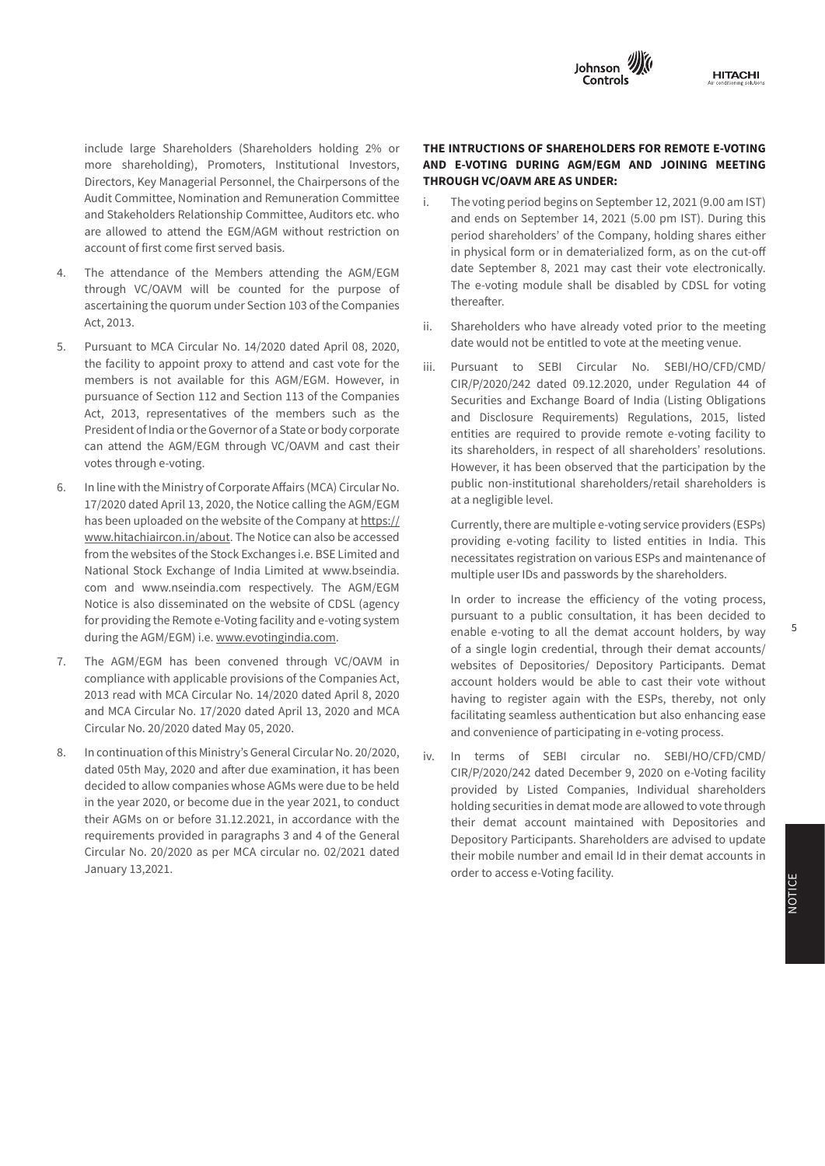

Audit Committee, Nomination and Remuneration Committee are allowed to attend the EGM/AGM without restriction on **the annual return** include large Shareholders (Shareholders holding 2% or **THE INTRUCTIONS OF SHAREHOLDERS FOR I**<br>more shareholding), Promoters, Institutional Investors, **AND E-VOTING DURING AGM/EGM AND J** and Stakeholders Relationship Committee, Auditors etc. who **Formula** and include large Shareholders (Shareholders holding 2% or Directors, Key Managerial Personnel, the Chairpersons of the account of first come first served basis.

- 4. The attendance of the Members attending the AGM/EGM and the September 8, 2021 may through VC/OAVM will be counted for the purpose of the e-voting module **I. REGISTRATION AND OTHER DETAILS:** Act, 2013. ascertaining the quorum under Section 103 of the Companies
- **Financial assets**  5. Pursuant to MCA Circular No. 14/2020 dated April 08, 2020, and the would not be entite the facility to appoint proxy to attend and cast vote for the stijl. Spursuant sto still Act, 2013, representatives of the members such as the and Disclosure Requirements) Regulation votes through e-voting.  $\blacksquare$ members is not available for this AGM/EGM. However, in pursuance of Section 112 and Section 113 of the Companies can attend the AGM/EGM through VC/OAVM and cast their
- 6. In line with the Ministry of Corporate Affairs (MCA) Circular No. Thublic non-institutional shareholders/retail shareholders i 17/2020 dated April 13, 2020, the Notice calling the AGM/EGM has been uploaded on the website of the Company at https:// www.hitachiaircon.in/about. The Notice can also be accessed providing e-voting facility to listed entities in India. Thi from the websites of the Stock Exchanges i.e. BSE Limited and National Stock Exchange of India Limited at www.bseindia. The multiple user IDs and passwords by the shareholders. com and www.nseindia.com respectively. The AGM/EGM Notice is also disseminated on the website of CDSL (agency and a pureup of the efficiency of the voting process<br>Pureup the a public consultation it has been decided to for providing the Remote e-Voting facility and e-voting system pursuant to a public consultation, it has been decided to during the AGM/EGM) i.e. www.evotingindia.com.<br> **Example 1996** - 1.2 and the demat account holders, by way during the AGM/EGM) i.e. <u>[www.evotingindia.com](http://www.evotingindia.com)</u>. for providing the Remote e-Voting facility and e-voting system
- 2013 read with MCA Circular No. 14/2020 dated April 8, 2020 having to register again with the ESPs, thereby, not only 7. The AGM/EGM has been convened through VC/OAVM in  $\frac{1}{2}$  compliance with applicable provisions of the Companies Act,  $\frac{1}{2}$  account holders would be able to cast their vote withou and MCA Circular No. 17/2020 dated April 13, 2020 and MCA **Frankling** seamle **Sr.**  Circular No. 20/2020 dated May 05, 2020. 2013 read with MCA Circular No. 14/2020 dated April 8, 2020
- 8. In continuation of this Ministry's [General Circular No. 20/2020](https://abcaus.in/companies-act/cos-allowed-conduct-agm-video-conferencing-audio-visual-means-during-calendar-year-2020.html), their AGMs on or before 31.12.2021, in accordance with the their demat accounts instruments. Holding(UK)Limited January 13,2021. 2, The Briars, Waterlooville, Hampshire, requirements provided in paragraphs 3 and 4 of the General

# **THE INTRUCTIONS OF SHAREHOLDERS FOR REMOTE E-VOTING AND E-VOTING DURING AGM/EGM AND JOINING MEETING THROUGH VC/OAVM ARE AS UNDER:**

- This section mentions the classification of financial instruments as under: The e-voting module shall be disabled by CDSL for voting **Year ended March 31, 2019 Year ended March 31, 2018** in physical form or in dematerialized form, as on the cut-off i. The voting period begins on September 12, 2021 (9.00 am IST) and ends on September 14, 2021 (5.00 pm IST). During this period shareholders' of the Company, holding shares either date September 8, 2021 may cast their vote electronically. thereafter.
	- ii. Shareholders who have already voted prior to the meeting date would not be entitled to vote at the meeting venue.
- the factury to appoint proxy to attend and cast vote for the iii. Pursuant to SEBI Circular No. SEBI/HO/CFD/CMD/<br>mombers is not available for this ACM/ECM Housews in members is not available for this AGM/EGM. However, in<br>nursuance of Section 112 and Section 112 of the Companies pursuance or section 112 and section 113 or the Companies<br>Act, 2012, assessed this at the massless and as the securities and Exchange Board of India (Listing Obligations Act, 2013, representatives of the members such as the and Disclosure Requirements) Regulations, 2015, listed<br>Described flashing Gaussmann is Chataghead account: President of india or the Governor of a state or body corporate entities are required to provide remote e-voting facility to can attend the AGM/EGM through VC/OAVM and cast their its shareholders, in respect of all shareholders' resolutions. Votes through e-voting. The security of the security of the security of the participation by the votes through at a negligible level. President of India or the Governor of a State or body corporate entities are required to provide remote e-voting facility t public non-institutional shareholders/retail shareholders is

Currently, there are multiple e-voting service providers (ESPs) providing e-voting facility to listed entities in India. This necessitates registration on various ESPs and maintenance of multiple user IDs and passwords by the shareholders.

of a single login credential, through their demat accounts/<br>The AGM/EGM has been convened through VG/OAVM in The AGM/EGM has been convened through VC/OAVM in The Websites of Depositories/ Depository Participants. Demat compliance with applicable provisions of the Companies Act, and account holders would be able to cast their vote without **Name and Address of the Company CIN / GLN Holding/ Subsidiary/ % of Shares Applicable**  and convenience of participating in e-voting process. In order to increase the efficiency of the voting process, facilitating seamless authentication but also enhancing ease

dated 05th May, 2020 and after due examination, it has been<br>
CIR/P/2020/242 dated December 9, 2020 on e-Voting facility decided to allow companies whose AGMs were due to be held provided by Listed Companies, Individual shareholders in the year 2020, or become due in the year 2021, to conduct holding securities in demat mode are allowed to vote through Circular No. 20/2020 as per MCA circular no. 02/2021 dated<br>Finer mobile number and email Id in their demat accounts in iv. In terms of SEBI circular no. SEBI/HO/CFD/CMD/  $\mathcal{S}$  Deen CIR/P/2020/242 dated December 9, 2020 on e-Voting facility eneral entity Depository Participants. Shareholders are advised to update<br>dated provided by Listed Companies, Individual shareholders holding securities in demat mode are allowed to vote through their demat account maintained with Depositories and their mobile number and email Id in their demat accounts in order to access e-Voting facility.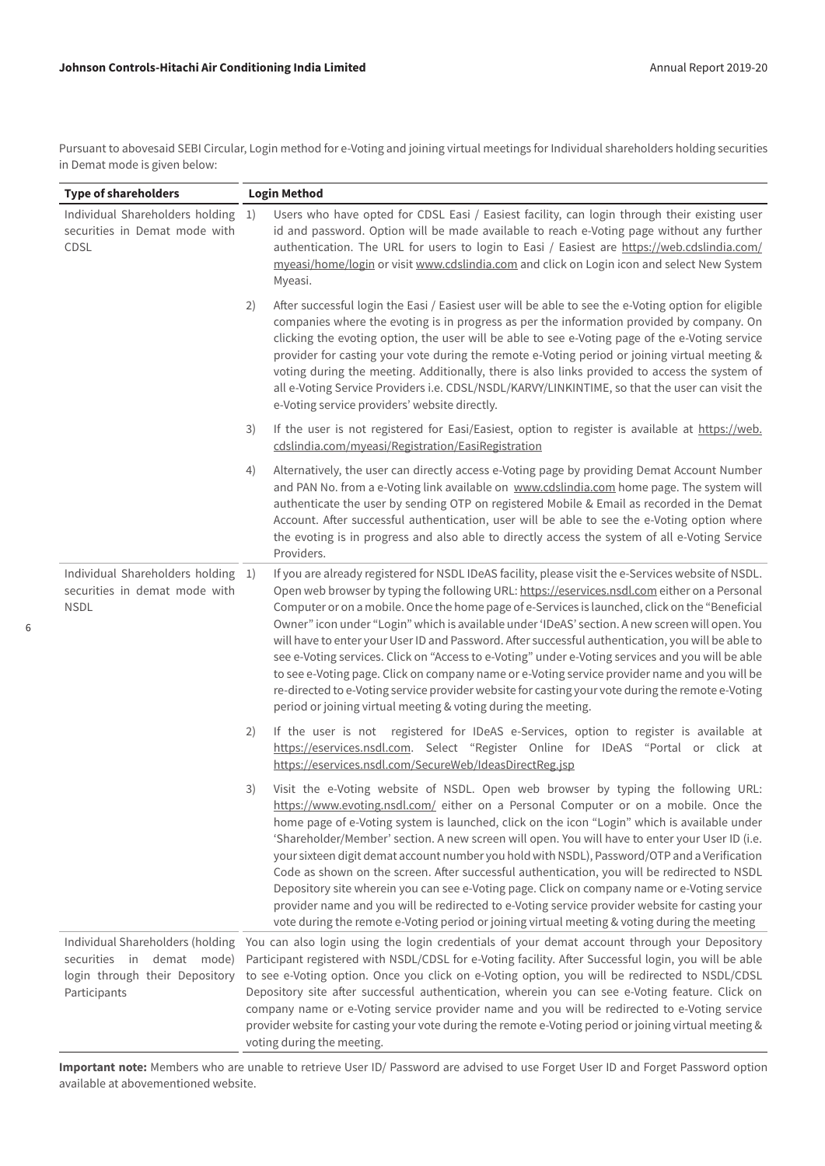6

Pursuant to abovesaid SEBI Circular, Login method for e-Voting and joining virtual meetings for Individual shareholders holding securities in Demat mode is given below:

| <b>Type of shareholders</b>                                                                                        | <b>Login Method</b> |                                                                                                                                                                                                                                                                                                                                                                                                                                                                                                                                                                                                                                                                                                                                                                                                                                                                                               |
|--------------------------------------------------------------------------------------------------------------------|---------------------|-----------------------------------------------------------------------------------------------------------------------------------------------------------------------------------------------------------------------------------------------------------------------------------------------------------------------------------------------------------------------------------------------------------------------------------------------------------------------------------------------------------------------------------------------------------------------------------------------------------------------------------------------------------------------------------------------------------------------------------------------------------------------------------------------------------------------------------------------------------------------------------------------|
| Individual Shareholders holding 1)<br>securities in Demat mode with<br>CDSL                                        |                     | Users who have opted for CDSL Easi / Easiest facility, can login through their existing user<br>id and password. Option will be made available to reach e-Voting page without any further<br>authentication. The URL for users to login to Easi / Easiest are https://web.cdslindia.com/<br>myeasi/home/login or visit www.cdslindia.com and click on Login icon and select New System<br>Myeasi.                                                                                                                                                                                                                                                                                                                                                                                                                                                                                             |
|                                                                                                                    | 2)                  | After successful login the Easi / Easiest user will be able to see the e-Voting option for eligible<br>companies where the evoting is in progress as per the information provided by company. On<br>clicking the evoting option, the user will be able to see e-Voting page of the e-Voting service<br>provider for casting your vote during the remote e-Voting period or joining virtual meeting &<br>voting during the meeting. Additionally, there is also links provided to access the system of<br>all e-Voting Service Providers i.e. CDSL/NSDL/KARVY/LINKINTIME, so that the user can visit the<br>e-Voting service providers' website directly.                                                                                                                                                                                                                                      |
|                                                                                                                    | 3)                  | If the user is not registered for Easi/Easiest, option to register is available at https://web.<br>cdslindia.com/myeasi/Registration/EasiRegistration                                                                                                                                                                                                                                                                                                                                                                                                                                                                                                                                                                                                                                                                                                                                         |
|                                                                                                                    | 4)                  | Alternatively, the user can directly access e-Voting page by providing Demat Account Number<br>and PAN No. from a e-Voting link available on www.cdslindia.com home page. The system will<br>authenticate the user by sending OTP on registered Mobile & Email as recorded in the Demat<br>Account. After successful authentication, user will be able to see the e-Voting option where<br>the evoting is in progress and also able to directly access the system of all e-Voting Service<br>Providers.                                                                                                                                                                                                                                                                                                                                                                                       |
| Individual Shareholders holding 1)<br>securities in demat mode with<br><b>NSDL</b>                                 |                     | If you are already registered for NSDL IDeAS facility, please visit the e-Services website of NSDL.<br>Open web browser by typing the following URL: https://eservices.nsdl.com either on a Personal<br>Computer or on a mobile. Once the home page of e-Services is launched, click on the "Beneficial<br>Owner" icon under "Login" which is available under 'IDeAS' section. A new screen will open. You<br>will have to enter your User ID and Password. After successful authentication, you will be able to<br>see e-Voting services. Click on "Access to e-Voting" under e-Voting services and you will be able<br>to see e-Voting page. Click on company name or e-Voting service provider name and you will be<br>re-directed to e-Voting service provider website for casting your vote during the remote e-Voting<br>period or joining virtual meeting & voting during the meeting. |
|                                                                                                                    | 2)                  | If the user is not registered for IDeAS e-Services, option to register is available at<br>https://eservices.nsdl.com. Select "Register Online for IDeAS "Portal or click at<br>https://eservices.nsdl.com/SecureWeb/IdeasDirectReg.jsp                                                                                                                                                                                                                                                                                                                                                                                                                                                                                                                                                                                                                                                        |
|                                                                                                                    | 3)                  | Visit the e-Voting website of NSDL. Open web browser by typing the following URL:<br>https://www.evoting.nsdl.com/ either on a Personal Computer or on a mobile. Once the<br>home page of e-Voting system is launched, click on the icon "Login" which is available under<br>'Shareholder/Member' section. A new screen will open. You will have to enter your User ID (i.e.<br>your sixteen digit demat account number you hold with NSDL), Password/OTP and a Verification<br>Code as shown on the screen. After successful authentication, you will be redirected to NSDL<br>Depository site wherein you can see e-Voting page. Click on company name or e-Voting service<br>provider name and you will be redirected to e-Voting service provider website for casting your<br>vote during the remote e-Voting period or joining virtual meeting & voting during the meeting               |
| Individual Shareholders (holding<br>demat mode)<br>securities in<br>login through their Depository<br>Participants |                     | You can also login using the login credentials of your demat account through your Depository<br>Participant registered with NSDL/CDSL for e-Voting facility. After Successful login, you will be able<br>to see e-Voting option. Once you click on e-Voting option, you will be redirected to NSDL/CDSL<br>Depository site after successful authentication, wherein you can see e-Voting feature. Click on<br>company name or e-Voting service provider name and you will be redirected to e-Voting service<br>provider website for casting your vote during the remote e-Voting period or joining virtual meeting &<br>voting during the meeting.                                                                                                                                                                                                                                            |

**Important note:** Members who are unable to retrieve User ID/ Password are advised to use Forget User ID and Forget Password option available at abovementioned website.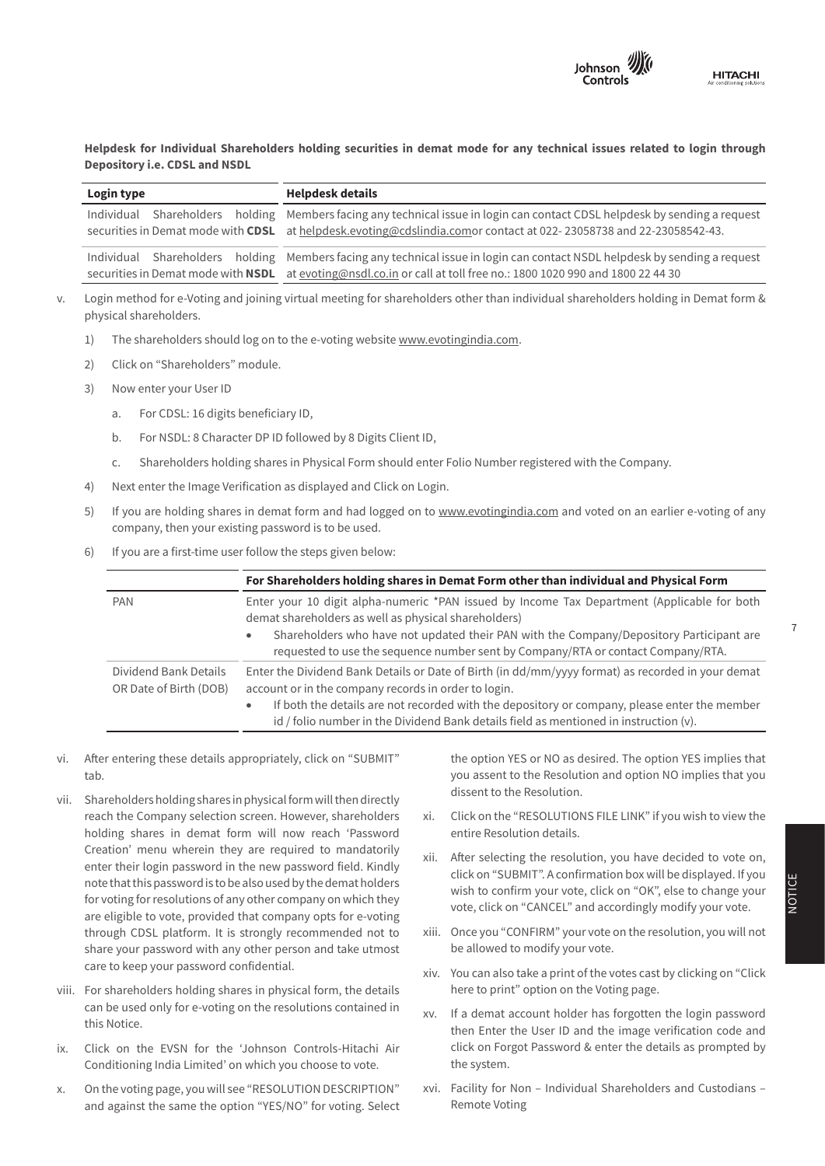

Helpdesk for Individual Shareholders holding securities in demat mode for any technical issues related to login through<br>Depository i.e. CDSL and NSDL **Depository i.e. CDSL and NSDL**

| Login type | <b>Helpdesk details</b>                                                                                                                                                                                                                                 |
|------------|---------------------------------------------------------------------------------------------------------------------------------------------------------------------------------------------------------------------------------------------------------|
|            | Individual Shareholders holding Members facing any technical issue in login can contact CDSL helpdesk by sending a request<br>securities in Demat mode with CDSL at helpdesk.evoting@cdslindia.comor contact at 022-23058738 and 22-23058542-43.        |
|            | Individual Shareholders holding Members facing any technical issue in login can contact NSDL helpdesk by sending a request<br>securities in Demat mode with <b>NSDL</b> at evoting@nsdl.co.in or call at toll free no.: 1800 1020 990 and 1800 22 44 30 |
|            |                                                                                                                                                                                                                                                         |

- **Year ended March 31, 2019 Year ended March 31, 2018** w.<br>2014 - Login method for e-Voting and joining virtual meeting for shareholders other than individual shareholders holding in Demat form physical shareholders.
	- 1) The shareholders should log on to the e-voting website <u>[www.evotingindia.com](http://www.evotingindia.com)</u>.
	- **Financial assets**   $T<sub>1</sub>$  -  $\ldots$  -  $\ldots$  -  $\ldots$   $\ldots$   $\ldots$ 2) Click on "Shareholders" module.
	- 3) Now enter your User ID  $\,$  . The Company is a strong the Control of the Controls-Hitachi Air Controls-Hitachi Air Conditioning India Limited India Limited India Limited India Limited India Limited India Limited India L
- a. For CDSL: 16 digits beneficiary ID,  $\mathcal{L}$  . The contract of  $\mathcal{L}$  -  $\mathcal{L}$  -  $\mathcal{L}$
- b. For NSDL: 8 Character DP ID followed by 8 Digits Client ID, Ph. 079-26402024
- Margin money deposits - 2.7 - 2.4 c. Shareholders holding shares in Physical Form should enter Folio Number registered with the Company.
	- 4) Next enter the Image Verification as displayed and Click on Login.
	- $\mathbf{F}$   $\mathbf{F}$  is a support that can be defined and case of  $\mathbf{F}$  and  $\mathbf{F}$  and  $\mathbf{F}$  and  $\mathbf{F}$  and  $\mathbf{F}$  and  $\mathbf{F}$  and  $\mathbf{F}$  and  $\mathbf{F}$  and  $\mathbf{F}$  and  $\mathbf{F}$  and  $\mathbf{F}$  and  $\mathbf{F}$  and  $\$ e<sub>d</sub> in you are not company, then your existing password is to be used. 5) If you are holding shares in demat form and had logged on to [www.evotingindia.com](http://www.evotingindia.com) and voted on an earlier e-voting of any<br>company then your ovicting password is to be used
	- 6) If you are a first-time user follow the steps given below:

|                                                 | For Shareholders holding shares in Demat Form other than individual and Physical Form                                                                                                                                                                                                                                                                 |
|-------------------------------------------------|-------------------------------------------------------------------------------------------------------------------------------------------------------------------------------------------------------------------------------------------------------------------------------------------------------------------------------------------------------|
| <b>PAN</b>                                      | Enter your 10 digit alpha-numeric *PAN issued by Income Tax Department (Applicable for both<br>demat shareholders as well as physical shareholders)<br>Shareholders who have not updated their PAN with the Company/Depository Participant are<br>۰<br>requested to use the sequence number sent by Company/RTA or contact Company/RTA.               |
| Dividend Bank Details<br>OR Date of Birth (DOB) | Enter the Dividend Bank Details or Date of Birth (in dd/mm/yyyy format) as recorded in your demat<br>account or in the company records in order to login.<br>If both the details are not recorded with the depository or company, please enter the member<br>id / folio number in the Dividend Bank details field as mentioned in instruction $(v)$ . |

- **No.** vi. After entering these details appropriately, click on "SUBMIT"  $\mathsf b$ . tab.
- vii. Shareholders holding shares in physical form will then directly dissent to the Resolution. end the Company selection screen. However, shareholders and Click on the "RESOLI Creation' menu wherein they are required to mandatorily and at the selecting the resolution usu beye desided to use on enter their login password in the new password field. Kindly Michael Are measured at a content of the disclosed cost for which they<br>for voting for resolutions of any other company on which they are eligible to vote, provided that company opts for e-voting *Total, the cost and associating y meany year* recast through CDSL platform. It is strongly recommended not to xiii. Once you "CONF care to keep your password confidential. The same state of your care to keep your password confidential. EC2Y 9AW, United Kingdom holding shares in demat form will now reach 'Password note that this password is to be also used by the demat holders share your password with any other person and take utmost
- viii. For shareholders holding shares in physical form, the details this Notice. can be used only for e-voting on the resolutions contained in
- 
- and against the same the option "YES/NO" for voting. Select x. On the voting page, you will see "RESOLUTION DESCRIPTION"

tab. **Example 20** tab. The contract of the Resolution and option NO implies that you of financial instruments as referred to into the Resolution.<br>Charakal developding obeyed in physical farms will then directly dissent to the Resolution. the option YES or NO as desired. The option YES implies that

- xi. Click on the "RESOLUTIONS FILE LINK" if you wish to view the entire Resolution details.
- $\frac{1}{2}$  atorily xii. After selecting the resolution, you have decided to vote on, click on "SUBMIT". A confirmation box will be displayed. If you wish to confirm your vote, click on "OK", else to change your vote, click on "CANCEL" and accordingly modify your vote.
	- xiii. Once you "CONFIRM" your vote on the resolution, you will not be allowed to modify your vote.
	- xiv. You can also take a print of the votes cast by clicking on "Click here to print" option on the Voting page.
- ix. Click on the EVSN for the 'Johnson Controls-Hitachi Air and click on Forgot Password & enter the details as prompted by Conditioning India Limited' on which you choose to vote.  $\qquad \qquad \text{the system}.$ xv. If a demat account holder has forgotten the login password then Enter the User ID and the image verification code and click on Forgot Password & enter the details as prompted by the system.
	- On the voting page, you will see "RESOLUTION DESCRIPTION" xvi. Facility for Non Individual Shareholders and Custodians -Remote Voting

7